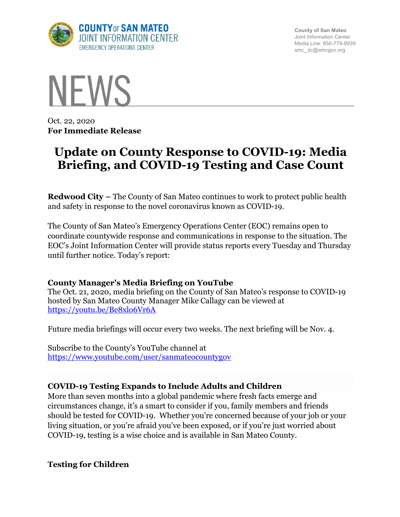

**County of San Mateo** Joint Information Center Media Line: 650-779-9939 smc\_ jic@smcgov.org



Oct. 22, 2020 **For Immediate Release**

# **Update on County Response to COVID-19: Media Briefing, and COVID-19 Testing and Case Count**

**Redwood City –** The County of San Mateo continues to work to protect public health and safety in response to the novel coronavirus known as COVID-19.

The County of San Mateo's Emergency Operations Center (EOC) remains open to coordinate countywide response and communications in response to the situation. The EOC's Joint Information Center will provide status reports every Tuesday and Thursday until further notice. Today's report:

## **County Manager's Media Briefing on YouTube**

The Oct. 21, 2020, media briefing on the County of San Mateo's response to COVID-19 hosted by San Mateo County Manager Mike Callagy can be viewed at https://youtu.be/Be8xlo6Vr6A

Future media briefings will occur every two weeks. The next briefing will be Nov. 4.

Subscribe to the County's YouTube channel at https://www.youtube.com/user/sanmateocountygov

## **COVID-19 Testing Expands to Include Adults and Children**

More than seven months into a global pandemic where fresh facts emerge and circumstances change, it's a smart to consider if you, family members and friends should be tested for COVID-19. Whether you're concerned because of your job or your living situation, or you're afraid you've been exposed, or if you're just worried about COVID-19, testing is a wise choice and is available in San Mateo County.

**Testing for Children**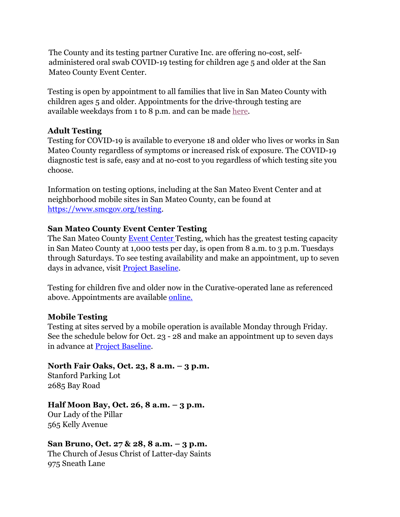The County and its testing partner Curative Inc. are offering no-cost, selfadministered oral swab COVID-19 testing for children age 5 and older at the San Mateo County Event Center.

Testing is open by appointment to all families that live in San Mateo County with children ages 5 and older. Appointments for the drive-through testing are available weekdays from 1 to 8 p.m. and can be made here.

### **Adult Testing**

Testing for COVID-19 is available to everyone 18 and older who lives or works in San Mateo County regardless of symptoms or increased risk of exposure. The COVID-19 diagnostic test is safe, easy and at no-cost to you regardless of which testing site you choose.

Information on testing options, including at the San Mateo Event Center and at neighborhood mobile sites in San Mateo County, can be found at https://www.smcgov.org/testing.

#### **San Mateo County Event Center Testing**

The San Mateo County Event Center Testing, which has the greatest testing capacity in San Mateo County at 1,000 tests per day, is open from 8 a.m. to 3 p.m. Tuesdays through Saturdays. To see testing availability and make an appointment, up to seven days in advance, visit **Project Baseline**.

Testing for children five and older now in the Curative-operated lane as referenced above. Appointments are available **online**.

### **Mobile Testing**

Testing at sites served by a mobile operation is available Monday through Friday. See the schedule below for Oct. 23 - 28 and make an appointment up to seven days in advance at Project Baseline.

## **North Fair Oaks, Oct. 23, 8 a.m. – 3 p.m.**

Stanford Parking Lot 2685 Bay Road

### **Half Moon Bay, Oct. 26, 8 a.m. – 3 p.m.**

Our Lady of the Pillar 565 Kelly Avenue

### **San Bruno, Oct. 27 & 28, 8 a.m. – 3 p.m.**

The Church of Jesus Christ of Latter-day Saints 975 Sneath Lane